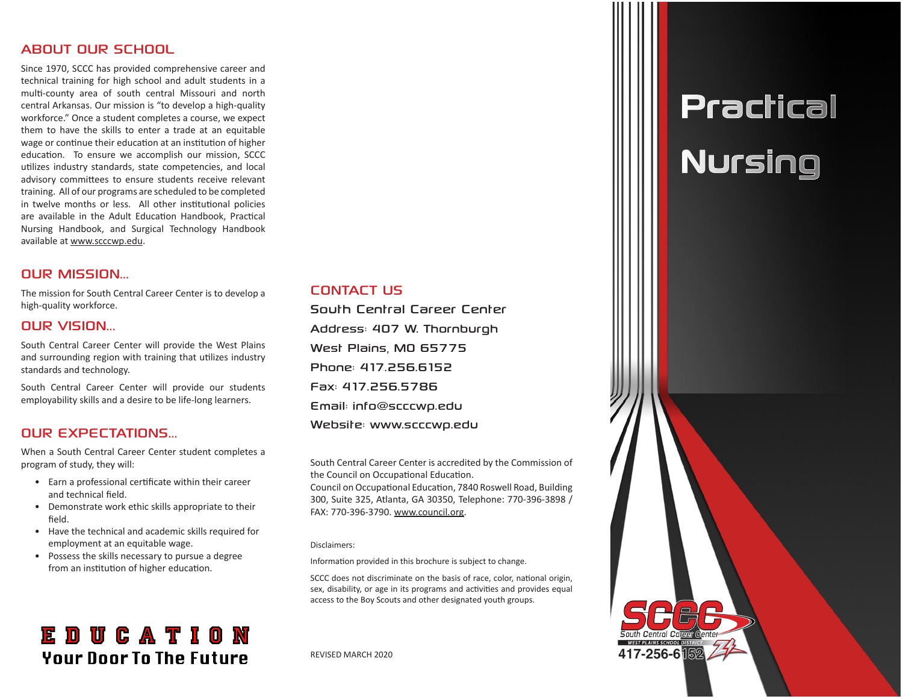#### ABOUT OUR SCHOOL

Since 1970, SCCC has provided comprehensive career and technical training for high school and adult students in a multi-county area of south central Missouri and north central Arkansas. Our mission is "to develop a high-quality workforce." Once a student completes a course, we expect them to have the skills to enter a trade at an equitable wage or continue their education at an institution of higher education. To ensure we accomplish our mission, SCCC utilizes industry standards, state competencies, and local advisory committees to ensure students receive relevant training. All of our programs are scheduled to be completed in twelve months or less. All other institutional policies are available in the Adult Education Handbook, Practical Nursing Handbook, and Surgical Technology Handbook available at www.scccwp.edu.

#### OUR MISSION...

The mission for South Central Career Center is to develop a high-quality workforce.

#### OUR VISION...

South Central Career Center will provide the West Plains and surrounding region with training that utilizes industry standards and technology.

South Central Career Center will provide our students employability skills and a desire to be life-long learners.

### OUR EXPECTATIONS...

When a South Central Career Center student completes a program of study, they will:

- Earn a professional certificate within their career and technical field.
- Demonstrate work ethic skills appropriate to their field.
- Have the technical and academic skills required for employment at an equitable wage.
- Possess the skills necessary to pursue a degree from an institution of higher education.

## **EDUCATION Your Door To The Future**

#### CONTACT US

South Central Career Center Address: 407 W. Thornburgh West Plains, MO 65775 Phone: 417.256.6152 Fax: 417.256.5786 Email: info@scccwp.edu Website: www.scccwp.edu

South Central Career Center is accredited by the Commission of the Council on Occupational Education.

Council on Occupational Education, 7840 Roswell Road, Building 300, Suite 325, Atlanta, GA 30350, Telephone: 770-396-3898 / FAX: 770-396-3790. www.council.org.

#### Disclaimers:

Information provided in this brochure is subject to change.

SCCC does not discriminate on the basis of race, color, national origin, sex, disability, or age in its programs and activities and provides equal access to the Boy Scouts and other designated youth groups.

REVISED MARCH 2020

# **Practical** Nursing

417-256-6隔2